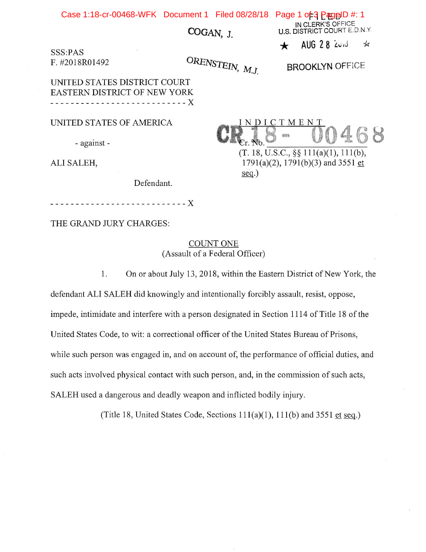Case 1:18-cr-00468-WFK Document 1 Filed 08/28/18 Page 1 of 3 PageID #: 1

COGAN, J.

SSS:PAS F.#2018R01492

ORENSTEIN, M.J.

BROOKLYN OFFICE

IN CLERK'S OFFICE U.S. DISTRICT COURT E.D.N.Y.  $A \cup G$  2 8  $20 \times$ 

 $\frac{1}{2}$ 

UNITED STATES DISTRICT COURT EASTERN DISTRICT OF NEW YORK X

UNITED STATES OF AMERICA

- against -

ALI SALEH,

Defendant.

THE GRAND JURY CHARGES:

COUNT ONE (Assault of a Federal Officer)

1. On or about July 13, 2018, within the Eastern District of New York, the

defendant ALI SALEH did knowingly and intentionally forcibly assault, resist, oppose, impede, intimidate and interfere with a person designated in Section 1114 of Title 18 of the United States Code, to wit: a correctional officer of the United States Bureau of Prisons, while such person was engaged in, and on account of, the performance of official duties, and such acts involved physical contact with such person, and, in the commission of such acts. SALEH used a dangerous and deadly weapon and inflicted bodily injury.

(Title 18, United States Code, Sections  $111(a)(1)$ ,  $111(b)$  and 3551 et seq.)

I N D I C T M E N  $\mathbb{N}$ 

(T. 18, U.S.C.,§§ 111(a)(1), 111(b),  $1791(a)(2)$ ,  $1791(b)(3)$  and  $3551$  et seq.)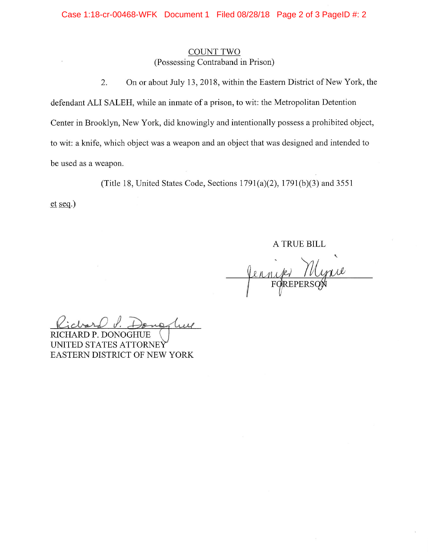### **COUNT TWO** (Possessing Contraband in Prison)

On or about July 13, 2018, within the Eastern District of New York, the 2. defendant ALI SALEH, while an inmate of a prison, to wit: the Metropolitan Detention Center in Brooklyn, New York, did knowingly and intentionally possess a prohibited object, to wit: a knife, which object was a weapon and an object that was designed and intended to be used as a weapon.

(Title 18, United States Code, Sections  $1791(a)(2)$ ,  $1791(b)(3)$  and  $3551$ 

 $et seg.)$ 

A TRUE BILL

RICHARD P. DONOGHUE UNITED STATES ATTORNEY EASTERN DISTRICT OF NEW YORK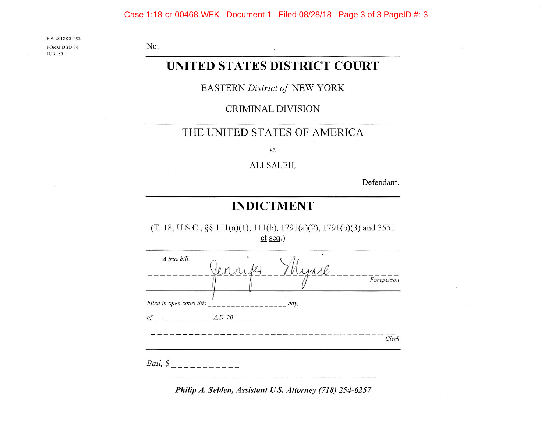### Case 1:18-cr-00468-WFK Document 1 Filed 08/28/18 Page 3 of 3 PageID #: 3

F.#: 2018R01492 FORM DBD-34 **JUN. 85** 

No.

# UNITED STATES DISTRICT COURT

**EASTERN District of NEW YORK** 

**CRIMINAL DIVISION** 

### THE UNITED STATES OF AMERICA

vs.

ALI SALEH,

Defendant.

## **INDICTMENT**

(T. 18, U.S.C., §§ 111(a)(1), 111(b), 1791(a)(2), 1791(b)(3) and 3551  $et$  seq.)

| A true bill.             | Jenne | Myrre | Foreperson |
|--------------------------|-------|-------|------------|
| Filed in open court this |       | day,  |            |
|                          |       |       | Clerk      |
| Bail, \$                 |       |       |            |

Philip A. Selden, Assistant U.S. Attorney (718) 254-6257